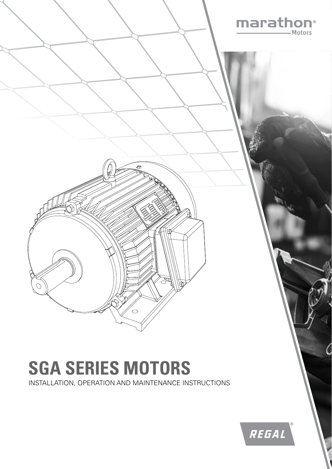

# **SGA SERIES MOTORS**

INSTALLATION, OPERATION AND MAINTENANCE INSTRUCTIONS

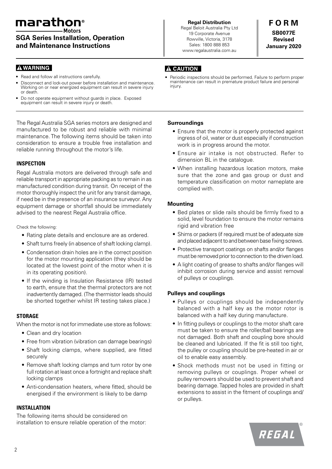### marathon®

**SGA Series Installation, Operation**

**and Maintenance Instructions**

#### **A WARNING**

- Read and follow all instructions carefully.
- Disconnect and lock-out power before installation and maintenance. Working on or near energized equipment can result in severe injury or death.
- Do not operate equipment without guards in place. Exposed equipment can result in severe injury or death.

The Regal Australia SGA series motors are designed and manufactured to be robust and reliable with minimal maintenance. The following items should be taken into consideration to ensure a trouble free installation and reliable running throughout the motor's life.

#### **INSPECTION**

Regal Australia motors are delivered through safe and reliable transport in appropriate packing as to remain in as manufactured condition during transit. On receipt of the motor thoroughly inspect the unit for any transit damage, if need be in the presence of an insurance surveyor. Any equipment damage or shortfall should be immediately advised to the nearest Regal Australia office.

Check the following:

- Rating plate details and enclosure are as ordered.
- Shaft turns freely (in absence of shaft locking clamp).
- Condensation drain holes are in the correct position for the motor mounting application (they should be located at the lowest point of the motor when it is in its operating position).
- If the winding is Insulation Resistance (IR) tested to earth, ensure that the thermal protectors are not inadvertently damaged. (The thermistor leads should be shorted together whilst IR testing takes place.)

#### **STORAGE**

When the motor is not for immediate use store as follows:

- Clean and dry location
- Free from vibration (vibration can damage bearings)
- Shaft locking clamps, where supplied, are fitted securely
- Remove shaft locking clamps and turn rotor by one full rotation at least once a fortnight and replace shaft locking clamps
- Anti-condensation heaters, where fitted, should be energised if the environment is likely to be damp

#### **INSTALLATION**

The following items should be considered on installation to ensure reliable operation of the motor:

**Regal Distribution** Regal Beloit Australia Pty Ltd 19 Corporate Avenue Rowville, Victoria, 3178 Sales: 1800 888 853 www.regalaustralia.com.au

**F O R M SB0077E Revised January 2020**

#### **A CAUTION**

• Periodic inspections should be performed. Failure to perform proper maintenance can result in premature product failure and personal injury.

#### **Surroundings**

- Ensure that the motor is properly protected against ingress of oil, water or dust especially if construction work is in progress around the motor.
- Ensure air intake is not obstructed. Refer to dimension BL in the catalogue.
- When installing hazardous location motors, make sure that the zone and gas group or dust and temperature classification on motor nameplate are complied with.

#### **Mounting**

- Bed plates or slide rails should be firmly fixed to a solid, level foundation to ensure the motor remains rigid and vibration free
- Shims or packers (if required) must be of adequate size and placed adjacent to and between base fixing screws.
- Protective transport coatings on shafts and/or flanges must be removed prior to connection to the driven load.
- A light coating of grease to shafts and/or flanges will inhibit corrosion during service and assist removal of pulleys or couplings.

#### **Pulleys and couplings**

- Pulleys or couplings should be independently balanced with a half key as the motor rotor is balanced with a half key during manufacture.
- In fitting pulleys or couplings to the motor shaft care must be taken to ensure the roller/ball bearings are not damaged. Both shaft and coupling bore should be cleaned and lubricated. If the fit is still too tight, the pulley or coupling should be pre-heated in air or oil to enable easy assembly.
- Shock methods must not be used in fitting or removing pulleys or couplings. Proper wheel or pulley removers should be used to prevent shaft and bearing damage. Tapped holes are provided in shaft extensions to assist in the fitment of couplings and/ or pulleys.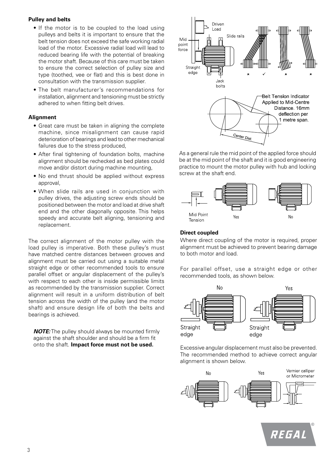#### **Pulley and belts**

- If the motor is to be coupled to the load using pulleys and belts it is important to ensure that the belt tension does not exceed the safe working radial load of the motor. Excessive radial load will lead to reduced bearing life with the potential of breaking the motor shaft. Because of this care must be taken to ensure the correct selection of pulley size and type (toothed, vee or flat) and this is best done in consultation with the transmission supplier.
- The belt manufacturer's recommendations for installation, alignment and tensioning must be strictly adhered to when fitting belt drives.

#### **Alignment**

- Great care must be taken in aligning the complete machine, since misalignment can cause rapid deterioration of bearings and lead to other mechanical failures due to the stress produced,
- After final tightening of foundation bolts, machine alignment should be rechecked as bed plates could move and/or distort during machine mounting,
- No end thrust should be applied without express approval,
- When slide rails are used in conjunction with pulley drives, the adjusting screw ends should be positioned between the motor and load at drive shaft end and the other diagonally opposite. This helps speedy and accurate belt aligning, tensioning and replacement.

The correct alignment of the motor pulley with the load pulley is imperative. Both these pulley's must have matched centre distances between grooves and alignment must be carried out using a suitable metal straight edge or other recommended tools to ensure parallel offset or angular displacement of the pulley's with respect to each other is inside permissible limits as recommended by the transmission supplier. Correct alignment will result in a uniform distribution of belt tension across the width of the pulley (and the motor shaft) and ensure design life of both the belts and bearings is achieved.

*NOTE:* The pulley should always be mounted firmly against the shaft shoulder and should be a firm fit onto the shaft. **Impact force must not be used.**



As a general rule the mid point of the applied force should be at the mid point of the shaft and it is good engineering practice to mount the motor pulley with hub and locking screw at the shaft end.



#### **Direct coupled**

Where direct coupling of the motor is required, proper alignment must be achieved to prevent bearing damage to both motor and load.

For parallel offset, use a straight edge or other recommended tools, as shown below.



Excessive angular displacement must also be prevented. The recommended method to achieve correct angular alignment is shown below.



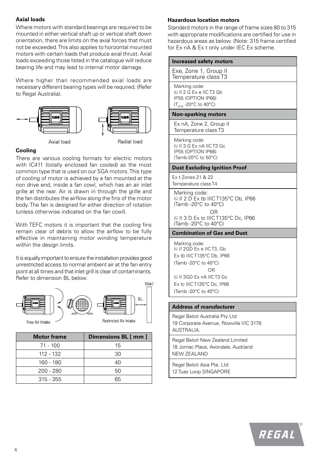#### **Axial loads**

Where motors with standard bearings are required to be mounted in either vertical shaft up or vertical shaft down orientation, there are limits on the axial forces that must not be exceeded. This also applies to horizontal mounted motors with certain loads that produce axial thrust. Axial loads exceeding those listed in the catalogue will reduce bearing life and may lead to internal motor damage.

Where higher than recommended axial loads are necessary different bearing types will be required. (Refer to Regal Australia).



#### **Cooling**

There are various cooling formats for electric motors with IC411 (totally enclosed fan cooled) as the most common type that is used on our SGA motors. This type of cooling of motor is achieved by a fan mounted at the non drive end, inside a fan cowl, which has an air inlet grille at the rear. Air is drawn in through the grille and the fan distributes the airflow along the fins of the motor body. The fan is designed for either direction of rotation (unless otherwise indicated on the fan cowl).

With TEFC motors it is important that the cooling fins remain clear of debris to allow the airflow to be fully effective in maintaining motor winding temperature within the design limits.

It is equally important to ensure the installation provides good unrestricted access to normal ambient air at the fan entry point at all times and that inlet grill is clear of contaminants. Refer to dimension BL below.



| <b>Motor frame</b> | Dimensions BL [ mm ] |
|--------------------|----------------------|
| $71 - 100$         | 15                   |
| 112 - 132          | 30                   |
| 160 - 180          | 40                   |
| $200 - 280$        | 50                   |
| $315 - 355$        | 65                   |

#### **Hazardous location motors**

Standard motors in the range of frame sizes 80 to 315 with appropriate modifications are certified for use in hazardous areas as below. (Note: 315 frame certified for Ex nA & Ex t only under IEC Ex scheme.

| Increased safety motors                                                                                                   |  |
|---------------------------------------------------------------------------------------------------------------------------|--|
| Exe, Zone 1, Group II<br>Temperature class T3                                                                             |  |
| Marking code:<br>SH 2 G Ex e IIC T3 Gb<br>IP55 (OPTION IP66)<br>$(T_{amb} - 20^{\circ}C \text{ to } 40^{\circ}C)$         |  |
| <b>Non-sparking motors</b>                                                                                                |  |
| Ex nA, Zone 2, Group II<br>Temperature class T3                                                                           |  |
| Marking code:<br>© II 3 G Ex nA IIC T3 Gc<br>IP55 (OPTION IP66)<br>(Tamb-20°C to 50°C)                                    |  |
| <b>Dust Excluding Ignition Proof</b>                                                                                      |  |
| Ex t Zones 21 & 22<br>Temperature class T4                                                                                |  |
| Marking code:<br>II 2 D Ex tb IIIC T135°C Db, IP66<br>(Tamb -20°C to 40°C)                                                |  |
| OR<br>© II 3 D Ex tc IIIC T135°C Dc, IP66<br>(Tamb -20°C to 40°C)                                                         |  |
| <b>Combination of Gas and Dust</b>                                                                                        |  |
| Marking code:<br>II 2GD Ex e IIC T3, Gb<br>Ex tb IIIC T135°C Db, IP66<br>(Tamb -20 $^{\circ}$ C to 40 $^{\circ}$ C)<br>OR |  |
| 1 3GD Ex nA IIC T3 Gc<br>Ex tc IIIC T135°C Dc. IP66<br>(Tamb -20°C to 40°C)                                               |  |
|                                                                                                                           |  |
| <b>Address of manufacturer</b>                                                                                            |  |

19 Corporate Avenue, Rowville VIC 3178 AUSTRALIA.

Regal Beloit New Zealand Limited 18 Jomac Place, Avondale, Auckland NEW ZEALAND

Regal Beloit Asia Pte. Ltd 12 Tuas Loop SINGAPORE

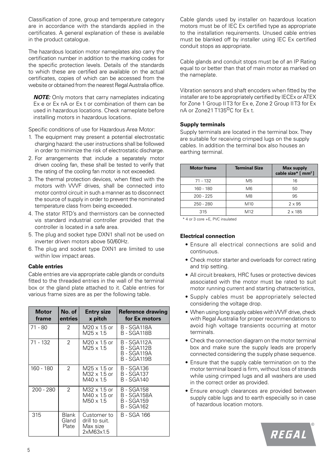Classification of zone, group and temperature category are in accordance with the standards applied in the certificates. A general explanation of these is available in the product catalogue.

The hazardous location motor nameplates also carry the certification number in addition to the marking codes for the specific protection levels. Details of the standards to which these are certified are available on the actual certificates, copies of which can be accessed from the website or obtained from the nearest Regal Australia office.

*NOTE:* Only motors that carry nameplates indicating Ex e or Ex nA or Ex t or combination of them can be used in hazardous locations. Check nameplate before installing motors in hazardous locations.

Specific conditions of use for Hazardous Area Motor:

- 1. The equipment may present a potential electrostatic charging hazard: the user instructions shall be followed in order to minimize the risk of electrostatic discharge.
- 2. For arrangements that include a separately motor driven cooling fan, these shall be tested to verify that the rating of the cooling fan motor is not exceeded.
- 3. The thermal protection devices, when fitted with the motors with VVVF drives, shall be connected into motor control circuit in such a manner as to disconnect the source of supply in order to prevent the nominated temperature class from being exceeded.
- 4. The stator RTD's and thermistors can be connected vis standard industrial controller provided that the controller is located in a safe area.
- 5. The plug and socket type DXN1 shall not be used on inverter driven motors above 50/60Hz.
- 6. The plug and socket type DXN1 are limited to use within low impact areas.

#### **Cable entries**

Cable entries are via appropriate cable glands or conduits fitted to the threaded entries in the wall of the terminal box or the gland plate attached to it. Cable entries for various frame sizes are as per the following table.

| <b>Motor</b><br>frame | No. of<br>entries       | <b>Entry size</b><br>x pitch                            | <b>Reference drawing</b><br>for Ex motors                |
|-----------------------|-------------------------|---------------------------------------------------------|----------------------------------------------------------|
| 71 - 80               | 2                       | $M20 \times 1.5$ or<br>$M25 \times 1.5$                 | B - SGA118A<br>B - SGA118B                               |
| 71 - 132              | $\mathcal{P}$           | $M20 \times 1.5$ or<br>$M25 \times 1.5$                 | B - SGA112A<br>B - SGA112B<br>B - SGA119A<br>B - SGA119B |
| 160 - 180             | $\mathcal{P}$           | M25 x 1.5 or<br>M32 x 1.5 or<br>$M40 \times 1.5$        | B - SGA136<br><b>B</b> - SGA137<br>B - SGA140            |
| 200 - 280             | $\mathcal{P}$           | M32 x 1.5 or<br>$M40 \times 1.5$ or<br>$M50 \times 1.5$ | B - SGA158<br>B - SGA158A<br>B - SGA159<br>B - SGA162    |
| 315                   | Blank<br>Gland<br>Plate | Customer to<br>drill to suit.<br>Max size<br>2xM63x1.5  | B - SGA 166                                              |

Cable glands used by installer on hazardous location motors must be of IEC Ex certified type as appropriate to the installation requirements. Unused cable entries must be blanked off by installer using IEC Ex certified conduit stops as appropriate.

Cable glands and conduit stops must be of an IP Rating equal to or better than that of main motor as marked on the nameplate.

Vibration sensors and shaft encoders when fitted by the installer are to be appropriately certified by IECEx or ATEX for Zone 1 Group II T3 for Ex e, Zone 2 Group II T3 for Ex nA or Zone21 T135<sup>o</sup>C for Ex t.

#### **Supply terminals**

Supply terminals are located in the terminal box. They are suitable for receiving crimped lugs on the supply cables. In addition the terminal box also houses an earthing terminal.

| <b>Motor frame</b> | <b>Terminal Size</b> | <b>Max supply</b><br>cable size* [ mm <sup>2</sup> ] |
|--------------------|----------------------|------------------------------------------------------|
| $71 - 132$         | M5                   | 16                                                   |
| 160 - 180          | M6                   | 50                                                   |
| $200 - 225$        | M8                   | 95                                                   |
| $250 - 280$        | M <sub>10</sub>      | $2 \times 95$                                        |
| 315                | M12                  | $2 \times 185$                                       |

\* 4 or 3 core +E, PVC insulated

#### **Electrical connection**

- Ensure all electrical connections are solid and continuous.
- Check motor starter and overloads for correct rating and trip setting.
- All circuit breakers, HRC fuses or protective devices associated with the motor must be rated to suit motor running current and starting chatracteristics,
- Supply cables must be appropriately selected considering the voltage drop.
- When using long supply cables with VVVF drive, check with Regal Australia for proper recommendations to avoid high voltage transients occurring at motor terminals.
- Check the connection diagram on the motor terminal box and make sure the supply leads are properly connected considering the supply phase sequence.
- Ensure that the supply cable termination on to the motor terminal board is firm, without loss of strands while using crimped lugs and all washers are used in the correct order as provided.
- Ensure enough clearances are provided between supply cable lugs and to earth especially so in case of hazardous location motors.

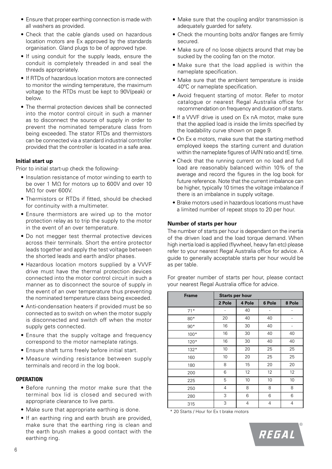- Ensure that proper earthing connection is made with all washers as provided.
- Check that the cable glands used on hazardous location motors are Ex approved by the standards organisation. Gland plugs to be of approved type.
- If using conduit for the supply leads, ensure the conduit is completely threaded in and seal the threads appropriately.
- If RTDs of hazardous location motors are connected to monitor the winding temperature, the maximum voltage to the RTDs must be kept to 90V(peak) or below.
- The thermal protection devices shall be connected into the motor control circuit in such a manner as to disconnect the source of supply in order to prevent the nominated temperature class from being exceeded. The stator RTDs and thermistors can be connected via a standard industrial controller provided that the controller is located in a safe area.

#### **Initial start up**

Prior to initial start-up check the following-

- Insulation resistance of motor winding to earth to be over 1 MΩ for motors up to 600V and over 10 MΩ for over 600V.
- Thermistors or RTDs if fitted, should be checked for continuity with a multimeter.
- Ensure thermistors are wired up to the motor protection relay as to trip the supply to the motor in the event of an over temperature.
- Do not megger test thermal protective devices across their terminals. Short the entire protector leads together and apply the test voltage between the shorted leads and earth and/or phases.
- Hazardous location motors supplied by a VVVF drive must have the thermal protection devices connected into the motor control circuit in such a manner as to disconnect the source of supply in the event of an over temperature thus preventing the nominated temperature class being exceeded.
- Anti-condensation heaters if provided must be so connected as to switch on when the motor supply is disconnected and switch off when the motor supply gets connected.
- Ensure that the supply voltage and frequency correspond to the motor nameplate ratings.
- Ensure shaft turns freely before initial start.
- Measure winding resistance between supply terminals and record in the log book.

#### **OPERATION**

- Before running the motor make sure that the terminal box lid is closed and secured with appropriate clearance to live parts.
- Make sure that appropriate earthing is done.
- If an earthing ring and earth brush are provided, make sure that the earthing ring is clean and the earth brush makes a good contact with the earthing ring.
- Make sure that the coupling and/or transmission is adequately guarded for safety.
- Check the mounting bolts and/or flanges are firmly secured.
- Make sure of no loose objects around that may be sucked by the cooling fan on the motor.
- Make sure that the load applied is within the nameplate specification.
- Make sure that the ambient temperature is inside 40ºC or nameplate specification.
- Avoid frequent starting of motor. Refer to motor catalogue or nearest Regal Australia office for recommendation on frequency and duration of starts.
- If a VVVF drive is used on Ex nA motor, make sure that the applied load is inside the limits specified by the loadability curve shown on page 9.
- On Ex e motors, make sure that the starting method employed keeps the starting current and duration within the nameplate figures of IA/IN ratio and tE time.
- Check that the running current on no load and full load are reasonably balanced within 10% of the average and record the figures in the log book for future reference. Note that the current imbalance can be higher, typically 10 times the voltage imbalance if there is an imbalance in supply voltage.
- Brake motors used in hazardous locations must have a limited number of repeat stops to 20 per hour.

#### **Number of starts per hour**

The number of starts per hour is dependant on the inertia of the driven load and the load torque demand. When high inertia load is applied (flywheel, heavy fan etc) please refer to your nearest Regal Australia office for advice. A guide to generally acceptable starts per hour would be as per table.

For greater number of starts per hour, please contact your nearest Regal Australia office for advice.

| <b>Frame</b> | <b>Starts per hour</b> |        |        |        |  |  |
|--------------|------------------------|--------|--------|--------|--|--|
|              | 2 Pole                 | 4 Pole | 6 Pole | 8 Pole |  |  |
| $71*$        |                        | 40     |        |        |  |  |
| $80*$        | 20                     | 40     | 40     |        |  |  |
| $90*$        | 16                     | 30     | 40     |        |  |  |
| $100*$       | 16                     | 30     | 40     | 40     |  |  |
| $120*$       | 16                     | 30     | 40     | 40     |  |  |
| $132*$       | 10                     | 20     | 25     | 25     |  |  |
| 160          | 10                     | 20     | 25     | 25     |  |  |
| 180          | 8                      | 15     | 20     | 20     |  |  |
| 200          | 6                      | 12     | 12     | 12     |  |  |
| 225          | 5                      | 10     | 10     | 10     |  |  |
| 250          | 4                      | 8      | 8      | 8      |  |  |
| 280          | 3                      | 6      | 6      | 6      |  |  |
| 315          | 3                      | 4      | 4      | 4      |  |  |

\* 20 Starts / Hour for Ex t brake motors

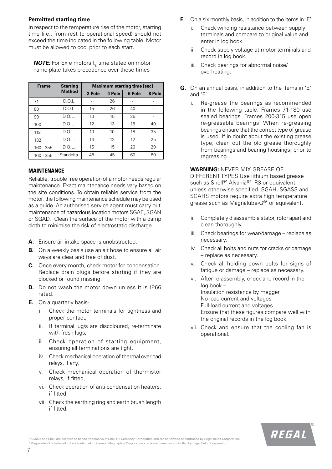#### **Permitted starting time**

In respect to the temperature rise of the motor, starting time (i.e., from rest to operational speed) should not exceed the time indicated in the following table. Motor must be allowed to cool prior to each start.

*NOTE:* For Ex e motors  $t_F$  time stated on motor name plate takes precedence over these times

| <b>Frame</b> | <b>Starting</b> | <b>Maximum starting time [sec]</b> |        |        |        |  |  |
|--------------|-----------------|------------------------------------|--------|--------|--------|--|--|
|              | <b>Method</b>   | 2 Pole                             | 4 Pole | 6 Pole | 8 Pole |  |  |
| 71           | D.O.L           |                                    | 26     |        |        |  |  |
| 80           | D.O.L           | 15                                 | 26     | 40     |        |  |  |
| 90           | D.O.L.          | 10                                 | 15     | 25     |        |  |  |
| 100          | D.O.L.          | 12                                 | 13     | 18     | 40     |  |  |
| 112          | D.O.L.          | 10                                 | 10     | 18     | 35     |  |  |
| 132          | D.O.L.          | 14                                 | 12     | 12     | 25     |  |  |
| $160 - 355$  | D.O.L.          | 15                                 | 15     | 20     | 20     |  |  |
| $160 - 355$  | Star-delta      | 45                                 | 45     | 60     | 60     |  |  |

#### **MAINTENANCE**

Reliable, trouble free operation of a motor needs regular maintenance. Exact maintenance needs vary based on the site conditions. To obtain reliable service from the motor, the following maintenance schedule may be used as a guide. An authorised service agent must carry out maintenance of hazardous location motors SGAE, SGAN or SGAD. Clean the surface of the motor with a damp cloth to minimise the risk of electrostatic discharge.

- **A.** Ensure air intake space is unobstructed.
- **B.** On a weekly basis use an air hose to ensure all air ways are clear and free of dust.
- **C.** Once every month, check motor for condensation. Replace drain plugs before starting if they are blocked or found missing.
- **D.** Do not wash the motor down unless it is IP66 rated.
- **E.** On a quarterly basis
	- i. Check the motor terminals for tightness and proper contact,
	- ii. If terminal lug/s are discoloured, re-terminate with fresh lugs,
	- iii. Check operation of starting equipment, ensuring all terminations are tight.
	- iv. Check mechanical operation of thermal overload relays, if any,
	- v. Check mechanical operation of thermistor relays, if fitted,
	- vi. Check operation of anti-condensation heaters, if fitted
	- vii. Check the earthing ring and earth brush length if fitted.
- **F.** On a six monthly basis, in addition to the items in 'E'
	- Check winding resistance between supply terminals and compare to original value and enter in log book.
	- ii. Check supply voltage at motor terminals and record in log book.
	- iii. Check bearings for abnormal noise/ overheating.
- **G.** On an annual basis, in addition to the items in 'E' and 'F'
	- i. Re-grease the bearings as recommended in the following table. Frames 71-180 use sealed bearings. Frames 200-315 use open re-greasable bearings. When re-greasing bearings ensure that the correct type of grease is used. If in doubt about the existing grease type, clean out the old grease thoroughly from bearings and bearing housings, prior to regreasing.

#### **WARNING:** NEVER MIX GREASE OF

DIFFERENT TYPES Use lithium based grease such as Shell**®\*** Alvania**®\*** R3 or equivalent unless otherwise specified. SGAH, SGASS and SGAHS motors require extra high temperature grease such as Magnalube-G**®\*** or equivalent.

- ii. Completely disassemble stator, rotor apart and clean thoroughly.
- iii. Check bearings for wear/damage replace as necessary.
- iv. Check all bolts and nuts for cracks or damage – replace as necessary.
- v. Check all holding down bolts for signs of fatigue or damage – replace as necessary.
- vi. After re-assembly, check and record in the log book – Insulation resistance by megger No load current and voltages Full load current and voltages Ensure that these figures compare well with the original records in the log book.
- vii. Check and ensure that the cooling fan is operational.

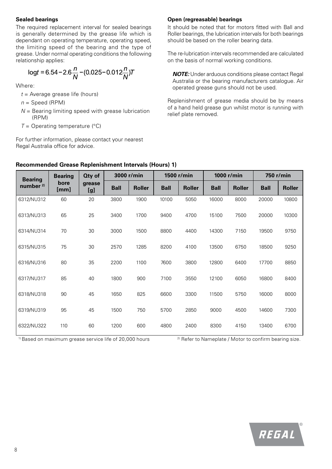#### **Sealed bearings**

The required replacement interval for sealed bearings is generally determined by the grease life which is dependant on operating temperature, operating speed, the limiting speed of the bearing and the type of grease. Under normal operating conditions the following relationship applies:

$$
\log t = 6.54 - 2.6 \frac{n}{N} - (0.025 - 0.012 \frac{n}{N})T
$$

Where:

- *t* = Average grease life (hours)
- *n* = Speed (RPM)
- *N* = Bearing limiting speed with grease lubrication (RPM)
- $T =$  Operating temperature ( $^{\circ}$ C)

For further information, please contact your nearest Regal Australia office for advice.

#### **Open (regreasable) bearings**

It should be noted that for motors fitted with Ball and Roller bearings, the lubrication intervals for both bearings should be based on the roller bearing data.

The re-lubrication intervals recommended are calculated on the basis of normal working conditions.

*NOTE:* Under arduous conditions please contact Regal Australia or the bearing manufacturers catalogue. Air operated grease guns should not be used.

Replenishment of grease media should be by means of a hand held grease gun whilst motor is running with relief plate removed.

| <b>Bearing</b>       | <b>Bearing</b> | <b>Qty of</b> |             | 3000 r/min    |             | 1500 r/min    |             | 1000 r/min    |             | 750 r/min     |
|----------------------|----------------|---------------|-------------|---------------|-------------|---------------|-------------|---------------|-------------|---------------|
| number <sup>2)</sup> | bore<br>[mm]   | grease<br>[g] | <b>Ball</b> | <b>Roller</b> | <b>Ball</b> | <b>Roller</b> | <b>Ball</b> | <b>Roller</b> | <b>Ball</b> | <b>Roller</b> |
| 6312/NU312           | 60             | 20            | 3800        | 1900          | 10100       | 5050          | 16000       | 8000          | 20000       | 10800         |
| 6313/NU313           | 65             | 25            | 3400        | 1700          | 9400        | 4700          | 15100       | 7500          | 20000       | 10300         |
| 6314/NU314           | 70             | 30            | 3000        | 1500          | 8800        | 4400          | 14300       | 7150          | 19500       | 9750          |
| 6315/NU315           | 75             | 30            | 2570        | 1285          | 8200        | 4100          | 13500       | 6750          | 18500       | 9250          |
| 6316/NU316           | 80             | 35            | 2200        | 1100          | 7600        | 3800          | 12800       | 6400          | 17700       | 8850          |
| 6317/NU317           | 85             | 40            | 1800        | 900           | 7100        | 3550          | 12100       | 6050          | 16800       | 8400          |
| 6318/NU318           | 90             | 45            | 1650        | 825           | 6600        | 3300          | 11500       | 5750          | 16000       | 8000          |
| 6319/NU319           | 95             | 45            | 1500        | 750           | 5700        | 2850          | 9000        | 4500          | 14600       | 7300          |
| 6322/NU322           | 110            | 60            | 1200        | 600           | 4800        | 2400          | 8300        | 4150          | 13400       | 6700          |

#### **Recommended Grease Replenishment Intervals (Hours) 1)**

<sup>1)</sup> Based on maximum grease service life of 20,000 hours <sup>2)</sup> Refer to Nameplate / Motor to confirm bearing size.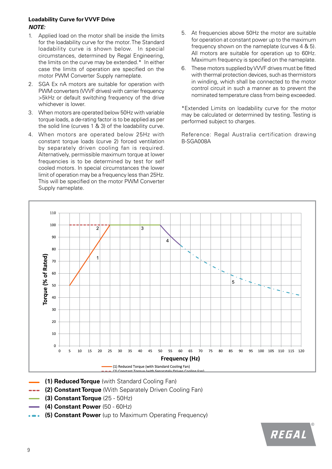#### **Loadability Curve for VVVF Drive** *NOTE:*

- 1. Applied load on the motor shall be inside the limits for the loadability curve for the motor. The Standard loadability curve is shown below. In special circumstances, determined by Regal Engineering, the limits on the curve may be extended.\* In either case the limits of operation are specified on the motor PWM Converter Supply nameplate.
- 2. SGA Ex nA motors are suitable for operation with PWM converters (VVVF drives) with carrier frequency >5kHz or default switching frequency of the drive whichever is lower.
- 3. When motors are operated below 50Hz with variable torque loads, a de-rating factor is to be applied as per the solid line (curves 1 & 3) of the loadability curve.
- 4. When motors are operated below 25Hz with constant torque loads (curve 2) forced ventilation by separately driven cooling fan is required. Alternatively, permissible maximum torque at lower frequencies is to be determined by test for self cooled motors. In special circumstances the lower limit of operation may be a frequency less than 25Hz. This will be specified on the motor PWM Converter Supply nameplate.
- 5. At frequencies above 50Hz the motor are suitable for operation at constant power up to the maximum frequency shown on the nameplate (curves 4 & 5). All motors are suitable for operation up to 60Hz. Maximum frequency is specified on the nameplate.
- 6. These motors supplied by VVVF drives must be fitted with thermal protection devices, such as thermistors in winding, which shall be connected to the motor control circuit in such a manner as to prevent the nominated temperature class from being exceeded.

\*Extended Limits on loadability curve for the motor may be calculated or determined by testing. Testing is performed subject to charges.

Reference: Regal Australia certification drawing B-SGA008A



- **(1) Reduced Torque** (with Standard Cooling Fan)
- **--- (2) Constant Torque** (With Separately Driven Cooling Fan)
- **(3) Constant Torque** (25 50Hz)
- **(4) Constant Power** (50 60Hz)
- **•• (5) Constant Power** (up to Maximum Operating Frequency)